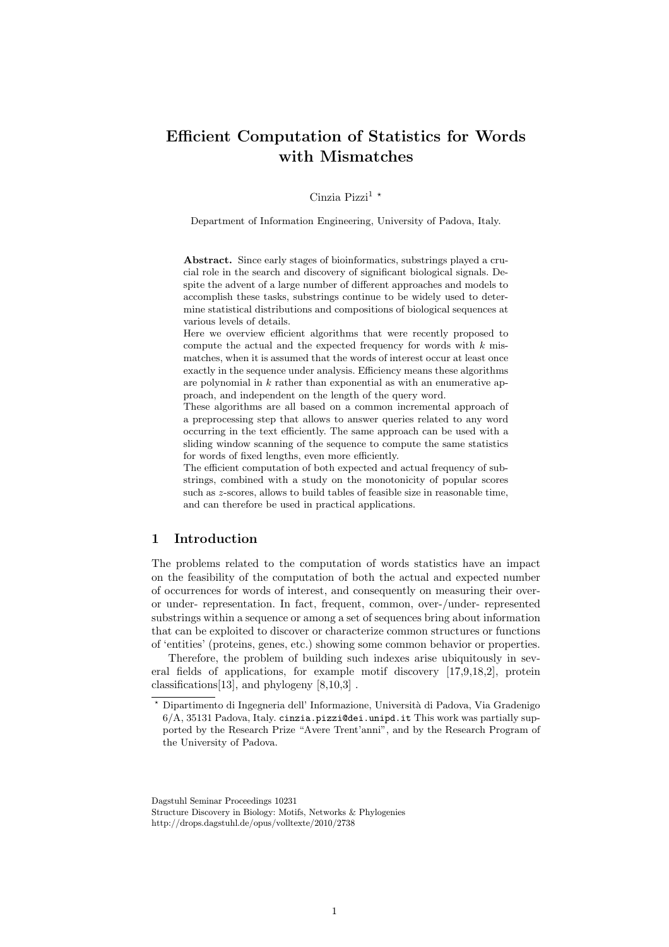# Efficient Computation of Statistics for Words with Mismatches

## Cinzia Pizzi<sup>1  $\star$ </sup>

Department of Information Engineering, University of Padova, Italy.

Abstract. Since early stages of bioinformatics, substrings played a crucial role in the search and discovery of significant biological signals. Despite the advent of a large number of different approaches and models to accomplish these tasks, substrings continue to be widely used to determine statistical distributions and compositions of biological sequences at various levels of details.

Here we overview efficient algorithms that were recently proposed to compute the actual and the expected frequency for words with  $k$  mismatches, when it is assumed that the words of interest occur at least once exactly in the sequence under analysis. Efficiency means these algorithms are polynomial in  $k$  rather than exponential as with an enumerative approach, and independent on the length of the query word.

These algorithms are all based on a common incremental approach of a preprocessing step that allows to answer queries related to any word occurring in the text efficiently. The same approach can be used with a sliding window scanning of the sequence to compute the same statistics for words of fixed lengths, even more efficiently.

The efficient computation of both expected and actual frequency of substrings, combined with a study on the monotonicity of popular scores such as z-scores, allows to build tables of feasible size in reasonable time, and can therefore be used in practical applications.

# 1 Introduction

The problems related to the computation of words statistics have an impact on the feasibility of the computation of both the actual and expected number of occurrences for words of interest, and consequently on measuring their overor under- representation. In fact, frequent, common, over-/under- represented substrings within a sequence or among a set of sequences bring about information that can be exploited to discover or characterize common structures or functions of 'entities' (proteins, genes, etc.) showing some common behavior or properties.

Therefore, the problem of building such indexes arise ubiquitously in several fields of applications, for example motif discovery [17,9,18,2], protein classifications[13], and phylogeny [8,10,3] .

Dagstuhl Seminar Proceedings 10231

Structure Discovery in Biology: Motifs, Networks & Phylogenies http://drops.dagstuhl.de/opus/volltexte/2010/2738

<sup>?</sup> Dipartimento di Ingegneria dell' Informazione, Universit`a di Padova, Via Gradenigo 6/A, 35131 Padova, Italy. cinzia.pizzi@dei.unipd.it This work was partially supported by the Research Prize "Avere Trent'anni", and by the Research Program of the University of Padova.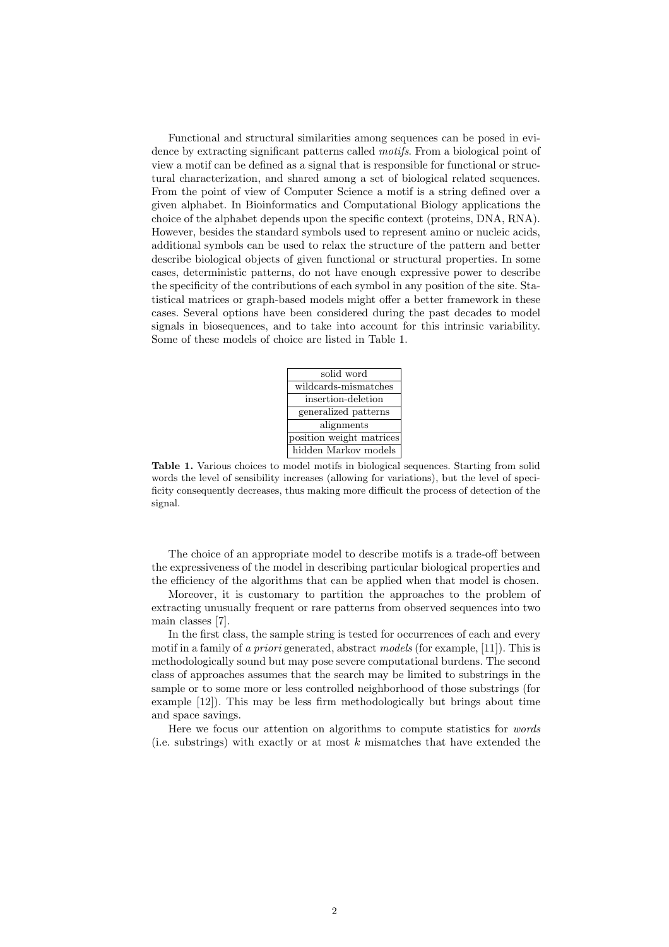Functional and structural similarities among sequences can be posed in evidence by extracting significant patterns called motifs. From a biological point of view a motif can be defined as a signal that is responsible for functional or structural characterization, and shared among a set of biological related sequences. From the point of view of Computer Science a motif is a string defined over a given alphabet. In Bioinformatics and Computational Biology applications the choice of the alphabet depends upon the specific context (proteins, DNA, RNA). However, besides the standard symbols used to represent amino or nucleic acids, additional symbols can be used to relax the structure of the pattern and better describe biological objects of given functional or structural properties. In some cases, deterministic patterns, do not have enough expressive power to describe the specificity of the contributions of each symbol in any position of the site. Statistical matrices or graph-based models might offer a better framework in these cases. Several options have been considered during the past decades to model signals in biosequences, and to take into account for this intrinsic variability. Some of these models of choice are listed in Table 1.



Table 1. Various choices to model motifs in biological sequences. Starting from solid words the level of sensibility increases (allowing for variations), but the level of specificity consequently decreases, thus making more difficult the process of detection of the signal.

The choice of an appropriate model to describe motifs is a trade-off between the expressiveness of the model in describing particular biological properties and the efficiency of the algorithms that can be applied when that model is chosen.

Moreover, it is customary to partition the approaches to the problem of extracting unusually frequent or rare patterns from observed sequences into two main classes [7].

In the first class, the sample string is tested for occurrences of each and every motif in a family of a priori generated, abstract models (for example, [11]). This is methodologically sound but may pose severe computational burdens. The second class of approaches assumes that the search may be limited to substrings in the sample or to some more or less controlled neighborhood of those substrings (for example [12]). This may be less firm methodologically but brings about time and space savings.

Here we focus our attention on algorithms to compute statistics for words (i.e. substrings) with exactly or at most  $k$  mismatches that have extended the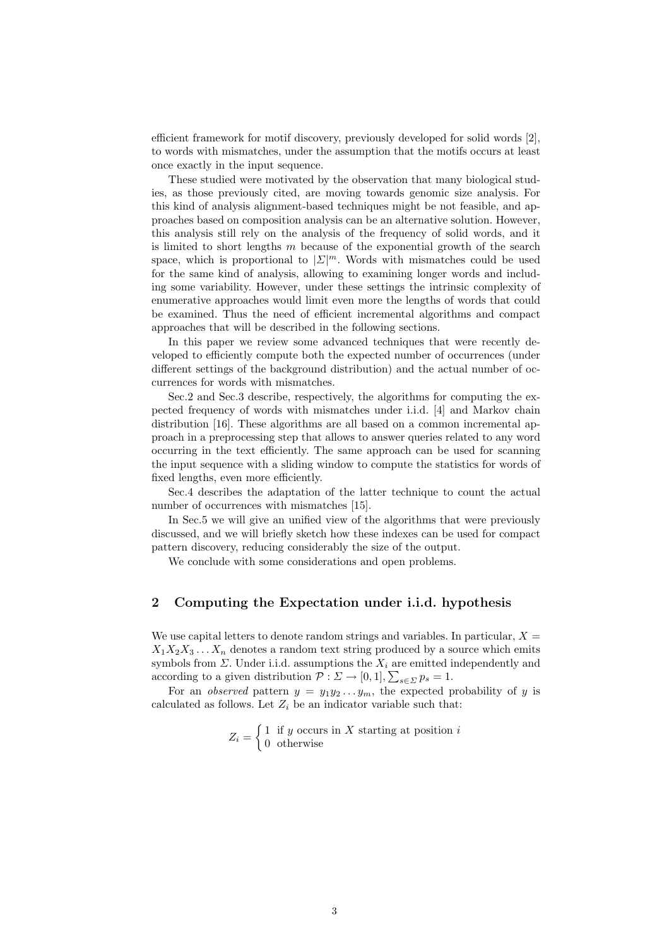efficient framework for motif discovery, previously developed for solid words [2], to words with mismatches, under the assumption that the motifs occurs at least once exactly in the input sequence.

These studied were motivated by the observation that many biological studies, as those previously cited, are moving towards genomic size analysis. For this kind of analysis alignment-based techniques might be not feasible, and approaches based on composition analysis can be an alternative solution. However, this analysis still rely on the analysis of the frequency of solid words, and it is limited to short lengths  $m$  because of the exponential growth of the search space, which is proportional to  $|\mathcal{L}|^m$ . Words with mismatches could be used for the same kind of analysis, allowing to examining longer words and including some variability. However, under these settings the intrinsic complexity of enumerative approaches would limit even more the lengths of words that could be examined. Thus the need of efficient incremental algorithms and compact approaches that will be described in the following sections.

In this paper we review some advanced techniques that were recently developed to efficiently compute both the expected number of occurrences (under different settings of the background distribution) and the actual number of occurrences for words with mismatches.

Sec.2 and Sec.3 describe, respectively, the algorithms for computing the expected frequency of words with mismatches under i.i.d. [4] and Markov chain distribution [16]. These algorithms are all based on a common incremental approach in a preprocessing step that allows to answer queries related to any word occurring in the text efficiently. The same approach can be used for scanning the input sequence with a sliding window to compute the statistics for words of fixed lengths, even more efficiently.

Sec.4 describes the adaptation of the latter technique to count the actual number of occurrences with mismatches [15].

In Sec.5 we will give an unified view of the algorithms that were previously discussed, and we will briefly sketch how these indexes can be used for compact pattern discovery, reducing considerably the size of the output.

We conclude with some considerations and open problems.

# 2 Computing the Expectation under i.i.d. hypothesis

We use capital letters to denote random strings and variables. In particular,  $X =$  $X_1X_2X_3...X_n$  denotes a random text string produced by a source which emits symbols from  $\Sigma$ . Under i.i.d. assumptions the  $X_i$  are emitted independently and according to a given distribution  $P: \Sigma \to [0,1], \sum_{s \in \Sigma} p_s = 1$ .

For an observed pattern  $y = y_1y_2...y_m$ , the expected probability of y is calculated as follows. Let  $Z_i$  be an indicator variable such that:

$$
Z_i = \begin{cases} 1 & \text{if } y \text{ occurs in } X \text{ starting at position } i \\ 0 & \text{otherwise} \end{cases}
$$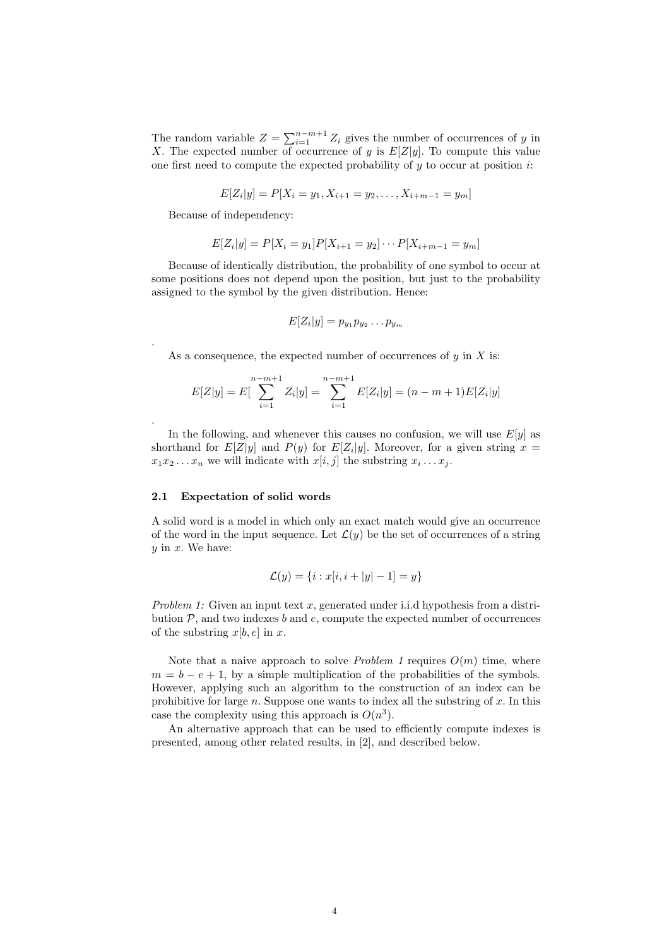The random variable  $Z = \sum_{i=1}^{n-m+1} Z_i$  gives the number of occurrences of y in X. The expected number of occurrence of y is  $E[Z|y]$ . To compute this value one first need to compute the expected probability of  $y$  to occur at position  $i$ :

$$
E[Z_i|y] = P[X_i = y_1, X_{i+1} = y_2, \dots, X_{i+m-1} = y_m]
$$

Because of independency:

.

.

$$
E[Z_i|y] = P[X_i = y_1]P[X_{i+1} = y_2] \cdots P[X_{i+m-1} = y_m]
$$

Because of identically distribution, the probability of one symbol to occur at some positions does not depend upon the position, but just to the probability assigned to the symbol by the given distribution. Hence:

$$
E[Z_i|y] = p_{y_1}p_{y_2}\dots p_{y_m}
$$

As a consequence, the expected number of occurrences of  $y$  in  $X$  is:

$$
E[Z|y] = E\left[\sum_{i=1}^{n-m+1} Z_i|y\right] = \sum_{i=1}^{n-m+1} E[Z_i|y] = (n-m+1)E[Z_i|y]
$$

In the following, and whenever this causes no confusion, we will use  $E[y]$  as shorthand for  $E[Z|y]$  and  $P(y)$  for  $E[Z_i|y]$ . Moreover, for a given string  $x =$  $x_1x_2...x_n$  we will indicate with  $x[i, j]$  the substring  $x_i...x_j$ .

# 2.1 Expectation of solid words

A solid word is a model in which only an exact match would give an occurrence of the word in the input sequence. Let  $\mathcal{L}(y)$  be the set of occurrences of a string  $y$  in  $x$ . We have:

$$
\mathcal{L}(y) = \{i : x[i, i + |y| - 1] = y\}
$$

Problem 1: Given an input text x, generated under i.i.d hypothesis from a distribution  $P$ , and two indexes b and  $e$ , compute the expected number of occurrences of the substring  $x[b, e]$  in x.

Note that a naive approach to solve *Problem 1* requires  $O(m)$  time, where  $m = b - e + 1$ , by a simple multiplication of the probabilities of the symbols. However, applying such an algorithm to the construction of an index can be prohibitive for large  $n$ . Suppose one wants to index all the substring of  $x$ . In this case the complexity using this approach is  $O(n^3)$ .

An alternative approach that can be used to efficiently compute indexes is presented, among other related results, in [2], and described below.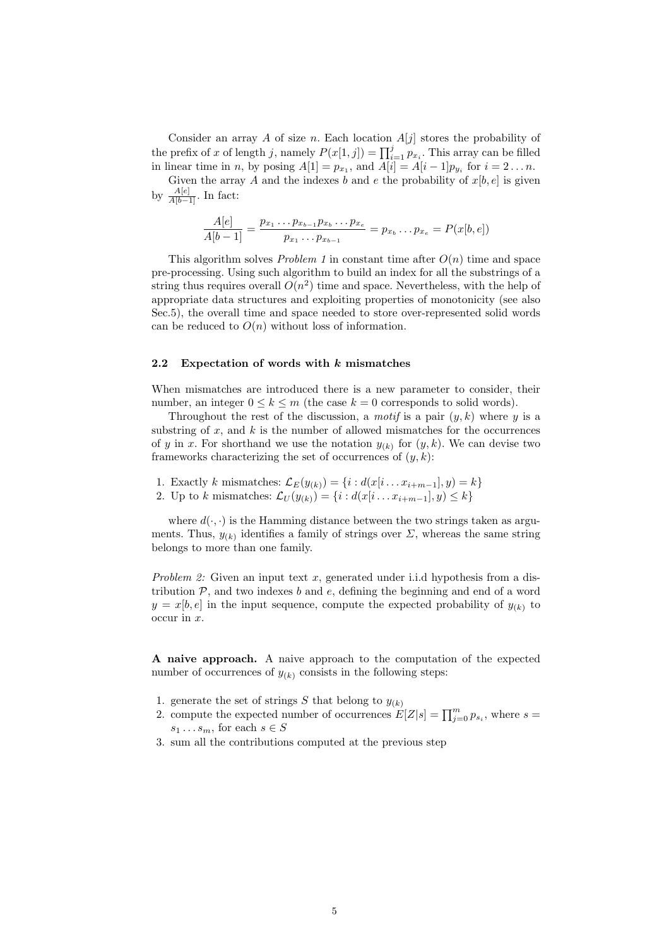Consider an array A of size n. Each location  $A[j]$  stores the probability of Consider an array A or size *n*: Each location  $A[j]$  stores the probability of the prefix of x of length j, namely  $P(x[1,j]) = \prod_{i=1}^{j} p_{x_i}$ . This array can be filled in linear time in *n*, by posing  $A[1] = p_{x_1}$ , and  $A[i] = A[i-1]p_{y_i}$  for  $i = 2...n$ .

Given the array A and the indexes b and e the probability of  $x[b, e]$  is given by  $\frac{A[e]}{A[b-1]}$ . In fact:

$$
\frac{A[e]}{A[b-1]} = \frac{p_{x_1} \dots p_{x_{b-1}} p_{x_b} \dots p_{x_e}}{p_{x_1} \dots p_{x_{b-1}}} = p_{x_b} \dots p_{x_e} = P(x[b, e])
$$

This algorithm solves *Problem 1* in constant time after  $O(n)$  time and space pre-processing. Using such algorithm to build an index for all the substrings of a string thus requires overall  $O(n^2)$  time and space. Nevertheless, with the help of appropriate data structures and exploiting properties of monotonicity (see also Sec.5), the overall time and space needed to store over-represented solid words can be reduced to  $O(n)$  without loss of information.

### 2.2 Expectation of words with  $k$  mismatches

When mismatches are introduced there is a new parameter to consider, their number, an integer  $0 \leq k \leq m$  (the case  $k = 0$  corresponds to solid words).

Throughout the rest of the discussion, a *motif* is a pair  $(y, k)$  where y is a substring of  $x$ , and  $k$  is the number of allowed mismatches for the occurrences of y in x. For shorthand we use the notation  $y_{(k)}$  for  $(y, k)$ . We can devise two frameworks characterizing the set of occurrences of  $(y, k)$ :

- 1. Exactly k mismatches:  $\mathcal{L}_E(y_{(k)}) = \{i : d(x[i \dots x_{i+m-1}], y) = k\}$
- 2. Up to k mismatches:  $\mathcal{L}_U(y_{(k)}) = \{i : d(x[i \dots x_{i+m-1}], y) \le k\}$

where  $d(\cdot, \cdot)$  is the Hamming distance between the two strings taken as arguments. Thus,  $y_{(k)}$  identifies a family of strings over  $\Sigma$ , whereas the same string belongs to more than one family.

*Problem 2:* Given an input text x, generated under i.i.d hypothesis from a distribution  $P$ , and two indexes  $b$  and  $e$ , defining the beginning and end of a word  $y = x[b, e]$  in the input sequence, compute the expected probability of  $y_{(k)}$  to occur in x.

A naive approach. A naive approach to the computation of the expected number of occurrences of  $y_{(k)}$  consists in the following steps:

- 1. generate the set of strings S that belong to  $y_{(k)}$
- 2. compute the expected number of occurrences  $E[Z|s] = \prod_{j=0}^{m} p_{s_i}$ , where  $s =$  $s_1 \ldots s_m$ , for each  $s \in S$
- 3. sum all the contributions computed at the previous step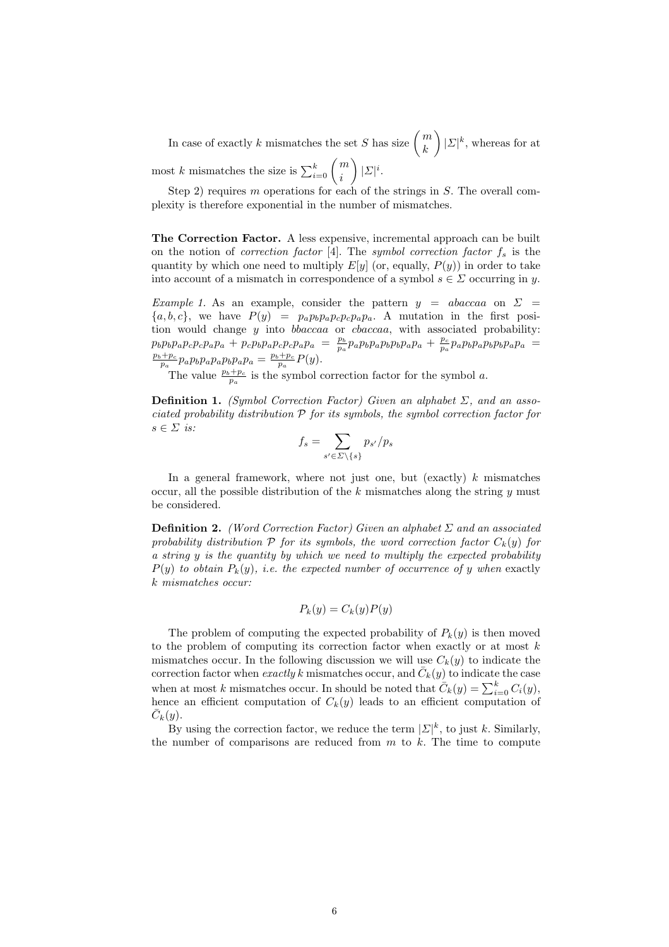In case of exactly k mismatches the set S has size  $\binom{m}{L}$ k  $\mathbf{r}$  $|\Sigma|^k$ , whereas for at most k mismatches the size is  $\sum_{i=0}^{k} \binom{m}{i}$ i  $\mathbf{r}$  $|\Sigma|^i$ .

Step 2) requires  $m$  operations for each of the strings in  $S$ . The overall complexity is therefore exponential in the number of mismatches.

The Correction Factor. A less expensive, incremental approach can be built on the notion of correction factor [4]. The symbol correction factor  $f_s$  is the quantity by which one need to multiply  $E[y]$  (or, equally,  $P(y)$ ) in order to take into account of a mismatch in correspondence of a symbol  $s \in \Sigma$  occurring in y.

Example 1. As an example, consider the pattern  $y = abaccaa$  on  $\Sigma =$  ${a, b, c}$ , we have  $P(y) = p_a p_b p_a p_c p_c p_a p_a$ . A mutation in the first position would change  $y$  into  $bbaccaa$  or  $cbaccaa$ , with associated probability:  $p_b p_b p_a p_c p_c p_a p_a + p_c p_b p_a p_c p_c p_a p_a = \frac{p_b}{p_a} p_a p_b p_b p_b p_a p_a + \frac{p_c}{p_a} p_a p_b p_b p_b p_a p_a =$  $\frac{p_b+p_c}{p_a}p_ap_bp_ap_ap_bp_ap_a = \frac{p_b+p_c}{p_a}P(y).$ 

The value  $\frac{p_b+p_c}{p_a}$  is the symbol correction factor for the symbol a.

**Definition 1.** (Symbol Correction Factor) Given an alphabet  $\Sigma$ , and an associated probability distribution  $P$  for its symbols, the symbol correction factor for  $s \in \Sigma$  is:  $\overline{\phantom{a}}$ 

$$
f_s = \sum_{s' \in \Sigma \setminus \{s\}} p_{s'}/p_s
$$

In a general framework, where not just one, but (exactly)  $k$  mismatches occur, all the possible distribution of the  $k$  mismatches along the string  $y$  must be considered.

**Definition 2.** (Word Correction Factor) Given an alphabet  $\Sigma$  and an associated probability distribution  $P$  for its symbols, the word correction factor  $C_k(y)$  for a string y is the quantity by which we need to multiply the expected probability  $P(y)$  to obtain  $P_k(y)$ , i.e. the expected number of occurrence of y when exactly k mismatches occur:

$$
P_k(y) = C_k(y)P(y)
$$

The problem of computing the expected probability of  $P_k(y)$  is then moved to the problem of computing its correction factor when exactly or at most  $k$ mismatches occur. In the following discussion we will use  $C_k(y)$  to indicate the correction factor when exactly k mismatches occur, and  $\overline{C}_k(y)$  to indicate the case when at most k mismatches occur. In should be noted that  $\overline{C}_k(y) = \sum_{i=0}^k C_i(y)$ , hence an efficient computation of  $C_k(y)$  leads to an efficient computation of  $\bar{C}_k(y)$ .

By using the correction factor, we reduce the term  $|\mathcal{L}|^k$ , to just k. Similarly, the number of comparisons are reduced from  $m$  to  $k$ . The time to compute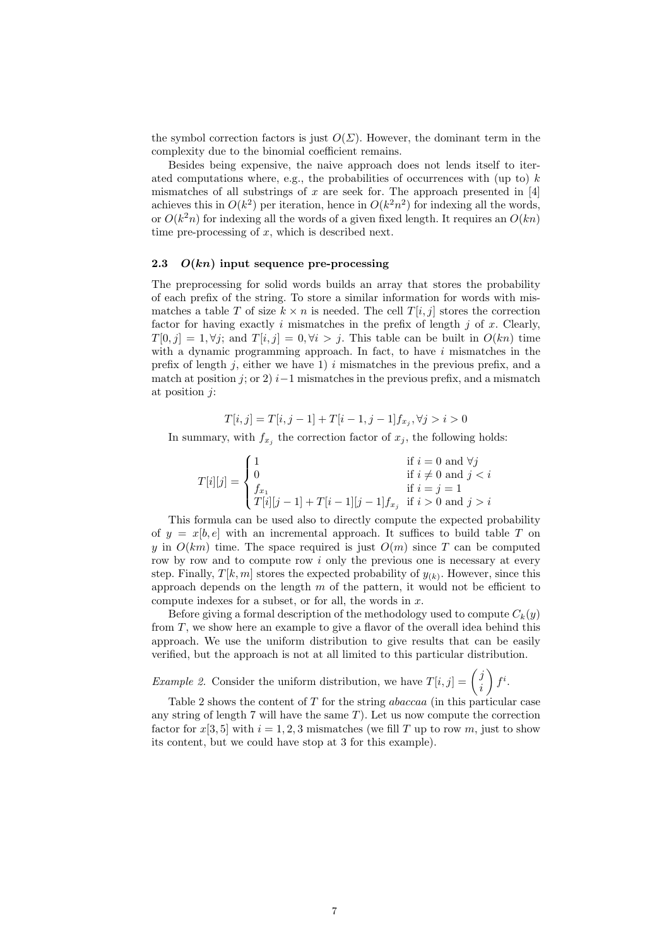the symbol correction factors is just  $O(\Sigma)$ . However, the dominant term in the complexity due to the binomial coefficient remains.

Besides being expensive, the naive approach does not lends itself to iterated computations where, e.g., the probabilities of occurrences with (up to)  $k$ mismatches of all substrings of x are seek for. The approach presented in  $[4]$ achieves this in  $O(k^2)$  per iteration, hence in  $O(k^2n^2)$  for indexing all the words, or  $O(k<sup>2</sup>n)$  for indexing all the words of a given fixed length. It requires an  $O(kn)$ time pre-processing of  $x$ , which is described next.

### 2.3  $O(kn)$  input sequence pre-processing

The preprocessing for solid words builds an array that stores the probability of each prefix of the string. To store a similar information for words with mismatches a table T of size  $k \times n$  is needed. The cell  $T[i, j]$  stores the correction factor for having exactly i mismatches in the prefix of length  $j$  of x. Clearly,  $T[0, j] = 1, \forall j$ ; and  $T[i, j] = 0, \forall i > j$ . This table can be built in  $O(kn)$  time with a dynamic programming approach. In fact, to have  $i$  mismatches in the prefix of length  $j$ , either we have 1) i mismatches in the previous prefix, and a match at position j; or 2)  $i-1$  mismatches in the previous prefix, and a mismatch at position  $i$ :

$$
T[i,j] = T[i,j-1] + T[i-1,j-1]f_{x_j}, \forall j > i > 0
$$

In summary, with  $f_{x_j}$  the correction factor of  $x_j$ , the following holds:

$$
T[i][j] = \begin{cases} 1 & \text{if } i = 0 \text{ and } \forall j \\ 0 & \text{if } i \neq 0 \text{ and } j < i \\ f_{x_1} & \text{if } i = j = 1 \\ T[i][j-1] + T[i-1][j-1]f_{x_j} & \text{if } i > 0 \text{ and } j > i \end{cases}
$$

This formula can be used also to directly compute the expected probability of  $y = x[b, e]$  with an incremental approach. It suffices to build table T on y in  $O(km)$  time. The space required is just  $O(m)$  since T can be computed row by row and to compute row  $i$  only the previous one is necessary at every step. Finally,  $T[k, m]$  stores the expected probability of  $y_{(k)}$ . However, since this approach depends on the length  $m$  of the pattern, it would not be efficient to compute indexes for a subset, or for all, the words in  $x$ .

Before giving a formal description of the methodology used to compute  $C_k(y)$ from T, we show here an example to give a flavor of the overall idea behind this approach. We use the uniform distribution to give results that can be easily verified, but the approach is not at all limited to this particular distribution.

*Example 2.* Consider the uniform distribution, we have 
$$
T[i, j] = {j \choose i} f^i
$$
.

Table 2 shows the content of T for the string abaccaa (in this particular case any string of length 7 will have the same  $T$ ). Let us now compute the correction factor for  $x[3, 5]$  with  $i = 1, 2, 3$  mismatches (we fill T up to row m, just to show its content, but we could have stop at 3 for this example).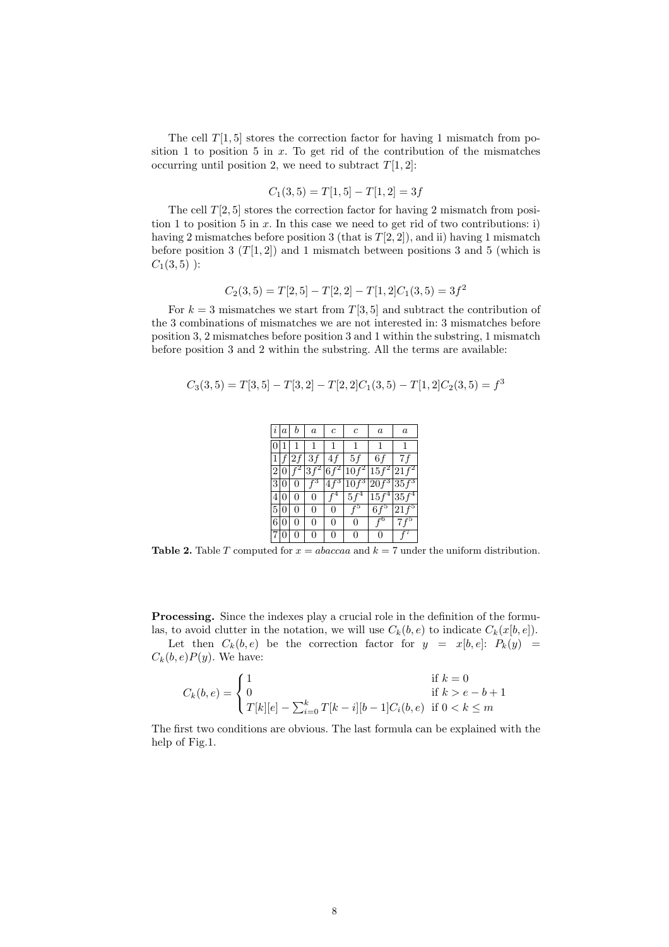The cell  $T[1, 5]$  stores the correction factor for having 1 mismatch from position 1 to position 5 in  $x$ . To get rid of the contribution of the mismatches occurring until position 2, we need to subtract  $T[1, 2]$ :

$$
C_1(3,5) = T[1,5] - T[1,2] = 3f
$$

The cell  $T[2, 5]$  stores the correction factor for having 2 mismatch from position 1 to position 5 in  $x$ . In this case we need to get rid of two contributions: i) having 2 mismatches before position 3 (that is  $T[2, 2]$ ), and ii) having 1 mismatch before position 3  $(T[1,2])$  and 1 mismatch between positions 3 and 5 (which is  $C_1(3,5)$  ):

$$
C_2(3,5) = T[2,5] - T[2,2] - T[1,2]C_1(3,5) = 3f^2
$$

For  $k = 3$  mismatches we start from  $T[3, 5]$  and subtract the contribution of the 3 combinations of mismatches we are not interested in: 3 mismatches before position 3, 2 mismatches before position 3 and 1 within the substring, 1 mismatch before position 3 and 2 within the substring. All the terms are available:

$$
C_3(3,5) = T[3,5] - T[3,2] - T[2,2]C_1(3,5) - T[1,2]C_2(3,5) = f^3
$$

| $\it i$        | a   | b               | $\boldsymbol{a}$ | c             | $\overline{c}$           | $\boldsymbol{a}$ | $\boldsymbol{a}$ |
|----------------|-----|-----------------|------------------|---------------|--------------------------|------------------|------------------|
| $\overline{0}$ |     |                 | 1                | 1             |                          |                  |                  |
|                |     | 1 f 2f          | 3f               | 4f            | 5f                       | 6f               | 7 f              |
|                |     | $2\sqrt{0/f^2}$ |                  |               | $ 3f^2 6f^2 10f^2 15f^2$ |                  | $21f^2$          |
| 3 0            |     | $\overline{0}$  | $\int_0^3$       | $4f^3$        | $\boxed{10f^3 20f^3}$    |                  | $35f^3$          |
| 4 0            |     | 0               | $\ddot{0}$       | $\tilde{f}^4$ | $5f^4$                   | $15f^4$          | $35f^4$          |
| 5 0            |     | 0               | 0                | 0             | $\overline{f}^5$         | $6f^5$           | $21f^5$          |
| 6 <sup>1</sup> | 0   | 0               | 0                | 0             | $\overline{0}$           |                  | $7f^5$           |
|                | 7 0 |                 | 0                | 0             | 0                        | 0                |                  |

**Table 2.** Table T computed for  $x = abaccaa$  and  $k = 7$  under the uniform distribution.

Processing. Since the indexes play a crucial role in the definition of the formulas, to avoid clutter in the notation, we will use  $C_k(b, e)$  to indicate  $C_k(x[b, e])$ .

Let then  $C_k(b, e)$  be the correction factor for  $y = x[b, e]: P_k(y) =$  $C_k(b, e)P(y)$ . We have:

$$
C_k(b, e) = \begin{cases} 1 & \text{if } k = 0\\ 0 & \text{if } k > e - b + 1\\ T[k][e] - \sum_{i=0}^k T[k-i][b-1]C_i(b, e) & \text{if } 0 < k \le m \end{cases}
$$

The first two conditions are obvious. The last formula can be explained with the help of Fig.1.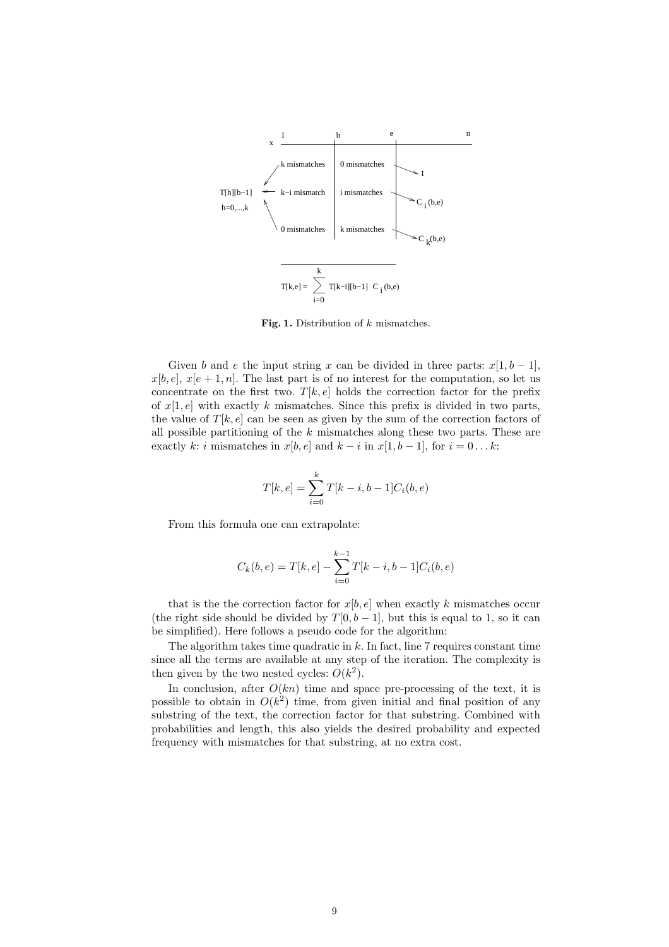

Fig. 1. Distribution of  $k$  mismatches.

Given b and e the input string x can be divided in three parts:  $x[1, b-1]$ ,  $x[b, e], x[e + 1, n]$ . The last part is of no interest for the computation, so let us concentrate on the first two.  $T[k, e]$  holds the correction factor for the prefix of  $x[1, e]$  with exactly k mismatches. Since this prefix is divided in two parts, the value of  $T[k, e]$  can be seen as given by the sum of the correction factors of all possible partitioning of the  $k$  mismatches along these two parts. These are exactly k: i mismatches in  $x[b, e]$  and  $k - i$  in  $x[1, b - 1]$ , for  $i = 0...k$ :

$$
T[k, e] = \sum_{i=0}^{k} T[k - i, b - 1]C_i(b, e)
$$

From this formula one can extrapolate:

$$
C_k(b, e) = T[k, e] - \sum_{i=0}^{k-1} T[k - i, b - 1]C_i(b, e)
$$

that is the the correction factor for  $x[b, e]$  when exactly k mismatches occur (the right side should be divided by  $T[0, b-1]$ , but this is equal to 1, so it can be simplified). Here follows a pseudo code for the algorithm:

The algorithm takes time quadratic in  $k$ . In fact, line 7 requires constant time since all the terms are available at any step of the iteration. The complexity is then given by the two nested cycles:  $O(k^2)$ .

In conclusion, after  $O(kn)$  time and space pre-processing of the text, it is possible to obtain in  $O(k^2)$  time, from given initial and final position of any substring of the text, the correction factor for that substring. Combined with probabilities and length, this also yields the desired probability and expected frequency with mismatches for that substring, at no extra cost.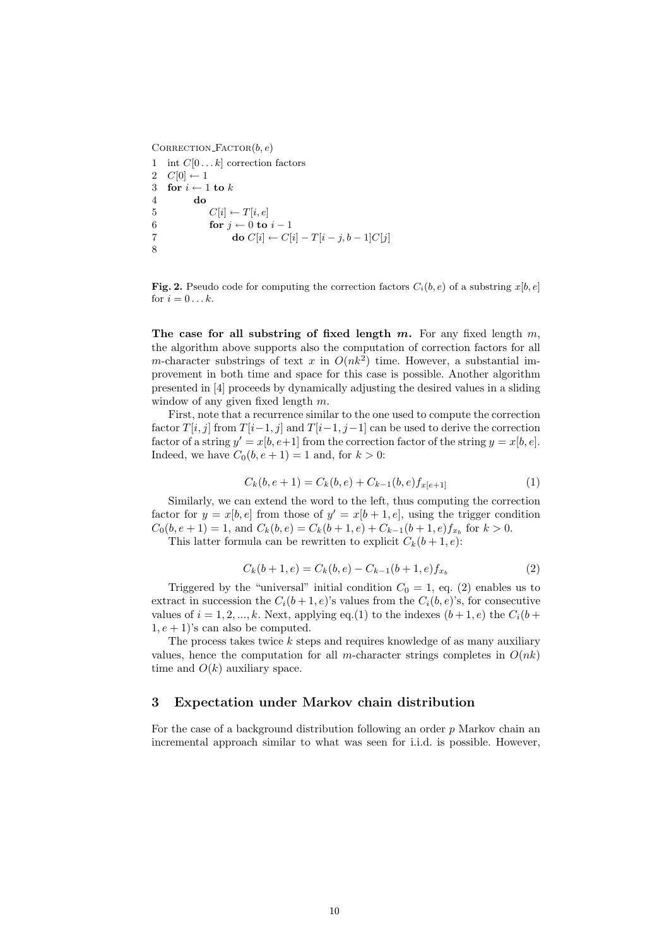CORRECTION\_FACTOR $(b, e)$ 1 int  $C[0 \dots k]$  correction factors 2  $C[0] \leftarrow 1$ 3 for  $i \leftarrow 1$  to  $k$ 4 do 5  $C[i] \leftarrow T[i, e]$ 6 **for**  $j \leftarrow 0$  to  $i - 1$ 7 do  $C[i] \leftarrow C[i] - T[i - j, b - 1]C[j]$ 8

**Fig. 2.** Pseudo code for computing the correction factors  $C_i(b, e)$  of a substring  $x[b, e]$ for  $i = 0 \dots k$ .

The case for all substring of fixed length m. For any fixed length  $m$ , the algorithm above supports also the computation of correction factors for all m-character substrings of text x in  $O(nk^2)$  time. However, a substantial improvement in both time and space for this case is possible. Another algorithm presented in [4] proceeds by dynamically adjusting the desired values in a sliding window of any given fixed length m.

First, note that a recurrence similar to the one used to compute the correction factor  $T[i, j]$  from  $T[i-1, j]$  and  $T[i-1, j-1]$  can be used to derive the correction factor of a string  $y' = x[b, e+1]$  from the correction factor of the string  $y = x[b, e]$ . Indeed, we have  $C_0(b, e+1) = 1$  and, for  $k > 0$ :

$$
C_k(b, e+1) = C_k(b, e) + C_{k-1}(b, e) f_{x[e+1]}
$$
\n(1)

Similarly, we can extend the word to the left, thus computing the correction factor for  $y = x[b, e]$  from those of  $y' = x[b + 1, e]$ , using the trigger condition  $C_0(b, e+1) = 1$ , and  $C_k(b, e) = C_k(b+1, e) + C_{k-1}(b+1, e)f_{x_b}$  for  $k > 0$ .

This latter formula can be rewritten to explicit  $C_k(b+1, e)$ :

$$
C_k(b+1, e) = C_k(b, e) - C_{k-1}(b+1, e)f_{x_b}
$$
\n<sup>(2)</sup>

Triggered by the "universal" initial condition  $C_0 = 1$ , eq. (2) enables us to extract in succession the  $C_i(b+1, e)$ 's values from the  $C_i(b, e)$ 's, for consecutive values of  $i = 1, 2, ..., k$ . Next, applying eq.(1) to the indexes  $(b+1, e)$  the  $C_i(b+$  $1, e + 1$ 's can also be computed.

The process takes twice  $k$  steps and requires knowledge of as many auxiliary values, hence the computation for all m-character strings completes in  $O(nk)$ time and  $O(k)$  auxiliary space.

### 3 Expectation under Markov chain distribution

For the case of a background distribution following an order  $p$  Markov chain an incremental approach similar to what was seen for i.i.d. is possible. However,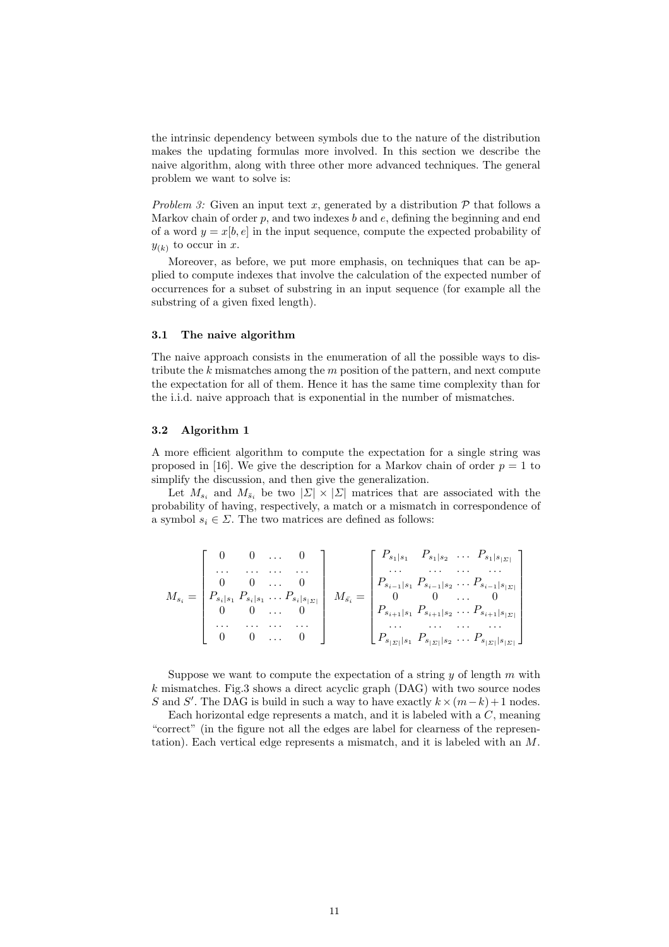the intrinsic dependency between symbols due to the nature of the distribution makes the updating formulas more involved. In this section we describe the naive algorithm, along with three other more advanced techniques. The general problem we want to solve is:

Problem 3: Given an input text x, generated by a distribution  $\mathcal{P}$  that follows a Markov chain of order  $p$ , and two indexes  $b$  and  $e$ , defining the beginning and end of a word  $y = x[b, e]$  in the input sequence, compute the expected probability of  $y_{(k)}$  to occur in x.

Moreover, as before, we put more emphasis, on techniques that can be applied to compute indexes that involve the calculation of the expected number of occurrences for a subset of substring in an input sequence (for example all the substring of a given fixed length).

#### 3.1 The naive algorithm

The naive approach consists in the enumeration of all the possible ways to distribute the  $k$  mismatches among the  $m$  position of the pattern, and next compute the expectation for all of them. Hence it has the same time complexity than for the i.i.d. naive approach that is exponential in the number of mismatches.

#### 3.2 Algorithm 1

A more efficient algorithm to compute the expectation for a single string was proposed in [16]. We give the description for a Markov chain of order  $p = 1$  to simplify the discussion, and then give the generalization.

Let  $M_{s_i}$  and  $M_{\bar{s}_i}$  be two  $|\Sigma| \times |\Sigma|$  matrices that are associated with the probability of having, respectively, a match or a mismatch in correspondence of a symbol  $s_i \in \Sigma$ . The two matrices are defined as follows:

$$
M_{s_i} = \begin{bmatrix} 0 & 0 & \ldots & 0 \\ \ldots & \ldots & \ldots & \ldots \\ 0 & 0 & \ldots & 0 \\ P_{s_i|s_1} P_{s_i|s_1} \ldots P_{s_i|s_{|S|}} \\ 0 & 0 & \ldots & 0 \\ \ldots & \ldots & \ldots & \ldots \\ 0 & 0 & \ldots & 0 \end{bmatrix} \quad M_{\bar{s_i}} = \begin{bmatrix} P_{s_1|s_1} & P_{s_1|s_2} & \ldots & P_{s_1|s_{|S|}} \\ \ldots & \ldots & \ldots & \ldots \\ P_{s_{i-1}|s_1} P_{s_{i-1}|s_2} \ldots & P_{s_{i-1}|s_{|S|}} \\ 0 & 0 & \ldots & 0 \\ \ldots & \ldots & \ldots & \ldots \\ P_{s_{|S|}|s_1} P_{s_{|S|}|s_2} \ldots & P_{s_{|S|}|s_{|S|}} \end{bmatrix}
$$

Suppose we want to compute the expectation of a string  $y$  of length  $m$  with  $k$  mismatches. Fig.3 shows a direct acyclic graph  $(DAG)$  with two source nodes S and S'. The DAG is build in such a way to have exactly  $k \times (m-k)+1$  nodes.

Each horizontal edge represents a match, and it is labeled with a  $C$ , meaning "correct" (in the figure not all the edges are label for clearness of the representation). Each vertical edge represents a mismatch, and it is labeled with an M.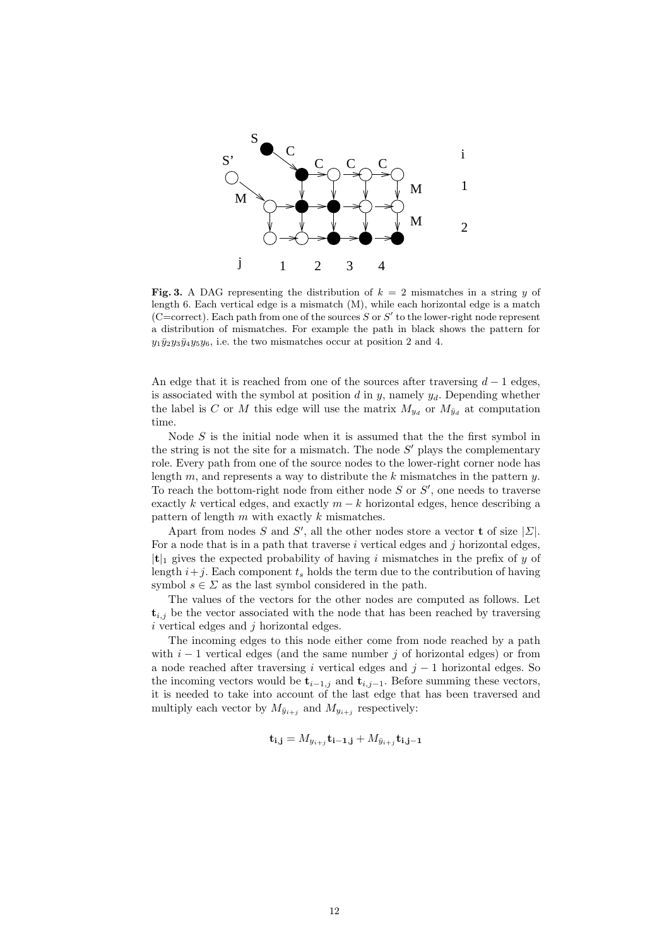

Fig. 3. A DAG representing the distribution of  $k = 2$  mismatches in a string y of length 6. Each vertical edge is a mismatch (M), while each horizontal edge is a match (C=correct). Each path from one of the sources  $S$  or  $S'$  to the lower-right node represent a distribution of mismatches. For example the path in black shows the pattern for  $y_1\overline{y}_2y_3\overline{y}_4y_5y_6$ , i.e. the two mismatches occur at position 2 and 4.

An edge that it is reached from one of the sources after traversing  $d-1$  edges, is associated with the symbol at position  $d$  in  $y$ , namely  $y_d$ . Depending whether the label is C or M this edge will use the matrix  $M_{y_d}$  or  $M_{\bar{y}_d}$  at computation time.

Node  $S$  is the initial node when it is assumed that the the first symbol in the string is not the site for a mismatch. The node  $S'$  plays the complementary role. Every path from one of the source nodes to the lower-right corner node has length  $m$ , and represents a way to distribute the  $k$  mismatches in the pattern  $y$ . To reach the bottom-right node from either node  $S$  or  $S'$ , one needs to traverse exactly k vertical edges, and exactly  $m - k$  horizontal edges, hence describing a pattern of length  $m$  with exactly  $k$  mismatches.

Apart from nodes S and S', all the other nodes store a vector **t** of size  $|\Sigma|$ . For a node that is in a path that traverse  $i$  vertical edges and  $j$  horizontal edges,  $|t|_1$  gives the expected probability of having i mismatches in the prefix of y of length  $i+j$ . Each component  $t_s$  holds the term due to the contribution of having symbol  $s \in \Sigma$  as the last symbol considered in the path.

The values of the vectors for the other nodes are computed as follows. Let  $t_{i,j}$  be the vector associated with the node that has been reached by traversing  $i$  vertical edges and  $j$  horizontal edges.

The incoming edges to this node either come from node reached by a path with  $i - 1$  vertical edges (and the same number j of horizontal edges) or from a node reached after traversing i vertical edges and  $j - 1$  horizontal edges. So the incoming vectors would be  $\mathbf{t}_{i-1,j}$  and  $\mathbf{t}_{i,j-1}$ . Before summing these vectors, it is needed to take into account of the last edge that has been traversed and multiply each vector by  $M_{\bar{y}_{i+j}}$  and  $M_{y_{i+j}}$  respectively:

$$
\mathbf{t}_{\mathbf{i},\mathbf{j}} = M_{y_{i+j}} \mathbf{t}_{\mathbf{i}-\mathbf{1},\mathbf{j}} + M_{\bar{y}_{i+j}} \mathbf{t}_{\mathbf{i},\mathbf{j}-\mathbf{1}}
$$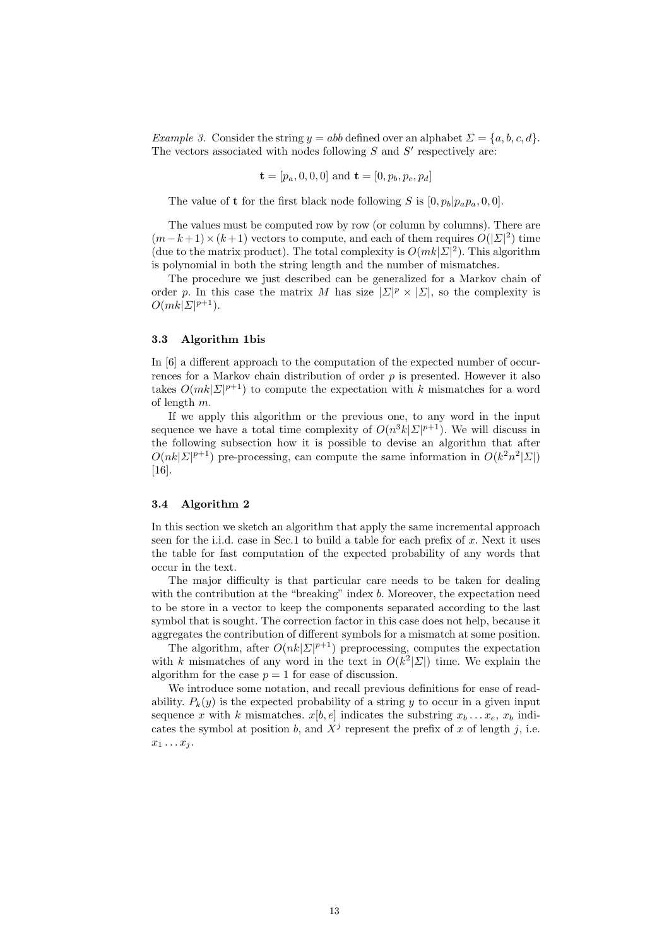Example 3. Consider the string  $y = abb$  defined over an alphabet  $\Sigma = \{a, b, c, d\}$ . The vectors associated with nodes following  $S$  and  $S'$  respectively are:

$$
\mathbf{t} = [p_a, 0, 0, 0] \text{ and } \mathbf{t} = [0, p_b, p_c, p_d]
$$

The value of **t** for the first black node following S is  $[0, p_b|p_a p_a, 0, 0]$ .

The values must be computed row by row (or column by columns). There are  $(m-k+1) \times (k+1)$  vectors to compute, and each of them requires  $O(|\mathcal{Z}|^2)$  time (due to the matrix product). The total complexity is  $O(mk|\mathcal{Z}|^2)$ . This algorithm is polynomial in both the string length and the number of mismatches.

The procedure we just described can be generalized for a Markov chain of order p. In this case the matrix M has size  $|\Sigma|^p \times |\Sigma|$ , so the complexity is  $O(mk|\mathbf{\Sigma}|^{p+1}).$ 

### 3.3 Algorithm 1bis

In  $[6]$  a different approach to the computation of the expected number of occurrences for a Markov chain distribution of order  $p$  is presented. However it also takes  $O(mk|\mathcal{Z}|^{p+1})$  to compute the expectation with k mismatches for a word of length m.

If we apply this algorithm or the previous one, to any word in the input sequence we have a total time complexity of  $O(n^3k|\mathcal{Z}|^{p+1})$ . We will discuss in the following subsection how it is possible to devise an algorithm that after  $O(nk|\mathcal{Z}|^{p+1})$  pre-processing, can compute the same information in  $O(k^2n^2|\mathcal{Z}|)$ [16].

#### 3.4 Algorithm 2

In this section we sketch an algorithm that apply the same incremental approach seen for the i.i.d. case in Sec.1 to build a table for each prefix of  $x$ . Next it uses the table for fast computation of the expected probability of any words that occur in the text.

The major difficulty is that particular care needs to be taken for dealing with the contribution at the "breaking" index  $b$ . Moreover, the expectation need to be store in a vector to keep the components separated according to the last symbol that is sought. The correction factor in this case does not help, because it aggregates the contribution of different symbols for a mismatch at some position.

The algorithm, after  $O(nk|\mathcal{Z}|^{p+1})$  preprocessing, computes the expectation with k mismatches of any word in the text in  $O(k^2|\mathcal{Z}|)$  time. We explain the algorithm for the case  $p = 1$  for ease of discussion.

We introduce some notation, and recall previous definitions for ease of readability.  $P_k(y)$  is the expected probability of a string y to occur in a given input sequence x with k mismatches.  $x[b, e]$  indicates the substring  $x_b \dots x_e$ ,  $x_b$  indicates the symbol at position b, and  $X^j$  represent the prefix of x of length j, i.e.  $x_1 \ldots x_i$ .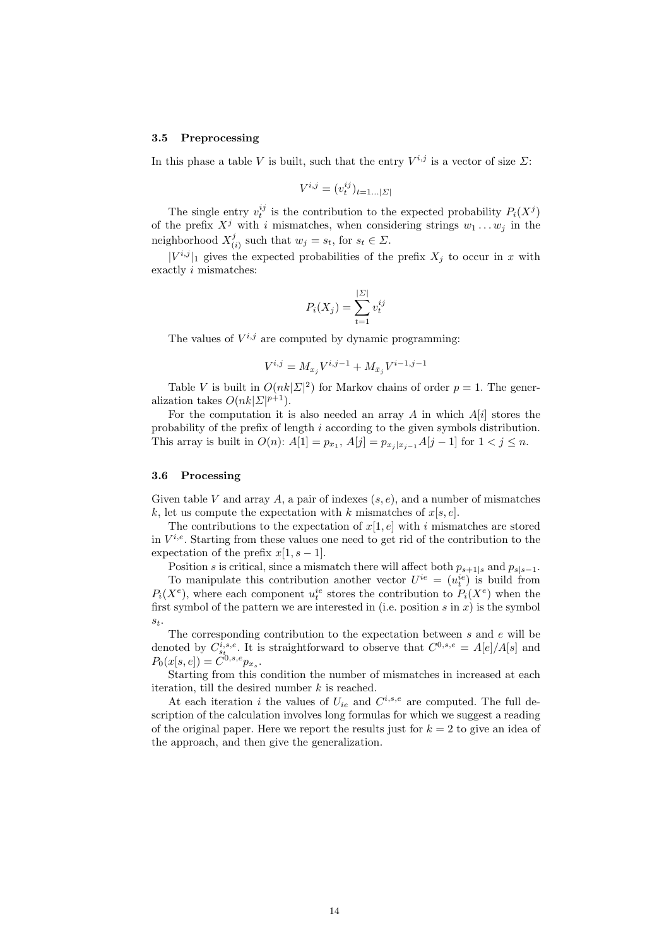#### 3.5 Preprocessing

In this phase a table V is built, such that the entry  $V^{i,j}$  is a vector of size  $\Sigma$ :

$$
V^{i,j}=(v^{ij}_t)_{t=1\ldots |\varSigma|}
$$

The single entry  $v_t^{ij}$  is the contribution to the expected probability  $P_i(X^j)$ of the prefix  $X^j$  with i mismatches, when considering strings  $w_1 \ldots w_j$  in the neighborhood  $X^j_{\theta}$  $\mathcal{L}_{(i)}^{j}$  such that  $w_j = s_t$ , for  $s_t \in \mathcal{L}$ .

 $|V^{i,j}|_1$  gives the expected probabilities of the prefix  $X_j$  to occur in x with exactly i mismatches:

$$
P_i(X_j) = \sum_{t=1}^{|{\mathcal{L}}|} v_t^{ij}
$$

The values of  $V^{i,j}$  are computed by dynamic programming:

$$
V^{i,j} = M_{x_j} V^{i,j-1} + M_{\bar{x}_j} V^{i-1,j-1}
$$

Table V is built in  $O(nk|\mathcal{Z}|^2)$  for Markov chains of order  $p=1$ . The generalization takes  $O(nk|\mathcal{L}|^{p+1})$ .

For the computation it is also needed an array  $A$  in which  $A[i]$  stores the probability of the prefix of length i according to the given symbols distribution. This array is built in  $O(n)$ :  $A[1] = p_{x_1}, A[j] = p_{x_j | x_{j-1}} A[j-1]$  for  $1 < j \le n$ .

#### 3.6 Processing

Given table V and array A, a pair of indexes  $(s, e)$ , and a number of mismatches k, let us compute the expectation with k mismatches of  $x[s, e]$ .

The contributions to the expectation of  $x[1, e]$  with i mismatches are stored in  $V^{i,e}$ . Starting from these values one need to get rid of the contribution to the expectation of the prefix  $x[1, s-1]$ .

Position s is critical, since a mismatch there will affect both  $p_{s+1|s}$  and  $p_{s|s-1}$ . To manipulate this contribution another vector  $U^{ie} = (u_t^{ie})$  is build from  $P_i(X^e)$ , where each component  $u_t^{ie}$  stores the contribution to  $P_i(X^e)$  when the first symbol of the pattern we are interested in (i.e. position  $s$  in  $x$ ) is the symbol  $s_t$ .

The corresponding contribution to the expectation between s and e will be denoted by  $C_{s_t}^{i,s,e}$ . It is straightforward to observe that  $C^{0,s,e} = A[e]/A[s]$  and  $P_0(x[s, e]) = C^{0, s, e} p_{x_s}.$ 

Starting from this condition the number of mismatches in increased at each iteration, till the desired number  $k$  is reached.

At each iteration i the values of  $U_{ie}$  and  $C^{i,s,e}$  are computed. The full description of the calculation involves long formulas for which we suggest a reading of the original paper. Here we report the results just for  $k = 2$  to give an idea of the approach, and then give the generalization.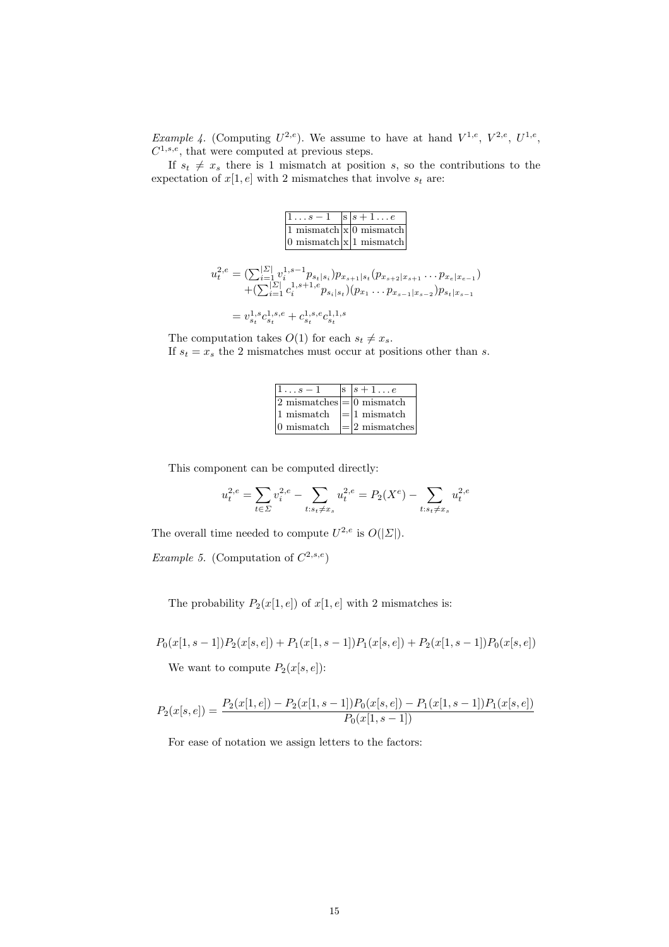*Example 4.* (Computing  $U^{2,e}$ ). We assume to have at hand  $V^{1,e}$ ,  $V^{2,e}$ ,  $U^{1,e}$ ,  $C^{1,s,e}$ , that were computed at previous steps.

If  $s_t \neq x_s$  there is 1 mismatch at position s, so the contributions to the expectation of  $x[1, e]$  with 2 mismatches that involve  $s_t$  are:

1 . . . s − 1 s s + 1 . . . e

| $\begin{array}{ l l }\n1 \dots s-1 & s \mid s+1 \dots e \\ \hline\n1 \text{ mismatch} \times 0 \text{ mismatch} \\ 0 \text{ mismatch} \times 1 \text{ mismatch}\n\end{array}$ |  |                                                                                                                                                                                                                                                                                                      |
|-------------------------------------------------------------------------------------------------------------------------------------------------------------------------------|--|------------------------------------------------------------------------------------------------------------------------------------------------------------------------------------------------------------------------------------------------------------------------------------------------------|
|                                                                                                                                                                               |  |                                                                                                                                                                                                                                                                                                      |
|                                                                                                                                                                               |  |                                                                                                                                                                                                                                                                                                      |
|                                                                                                                                                                               |  |                                                                                                                                                                                                                                                                                                      |
|                                                                                                                                                                               |  | $\begin{array}{l} u^{2,e}_{t}=(\sum_{i=1}^{ {\cal Z} }v^{1,s-1}_{i}p_{s_{t} s_{i}})p_{x_{s+1} s_{t}}(p_{x_{s+2} x_{s+1}}\ldots p_{x_{e} x_{e-1}})\\ \qquad+\displaystyle{(\sum_{i=1}^{ {\cal Z} }c^{1,s+1,e}_{i}p_{s_{i} s_{t}})(p_{x_{1}}\ldots p_{x_{s-1} x_{s-2}})p_{s_{t} x_{s-1}}} \end{array}$ |
| $v^{1,s}e^{1,s,e}+e^{1,s,e}e^{1,1,s}$                                                                                                                                         |  |                                                                                                                                                                                                                                                                                                      |

$$
= v_{s_t}^{1,s} c_{s_t}^{1,s,e} + c_{s_t}^{1,s,e} c_{s_t}^{1,1,s}
$$

The computation takes  $O(1)$  for each  $s_t \neq x_s$ . If  $s_t = x_s$  the 2 mismatches must occur at positions other than s.

| $s-1$                                           | S. | $ s+1e $                 |
|-------------------------------------------------|----|--------------------------|
| $ 2 \text{ mismatches}  =  0 \text{ mismatch} $ |    |                          |
| 1 mismatch                                      |    | $\mid = \mid 1$ mismatch |
| $ 0 \text{ mismatch} $                          |    | $= 2 \text{ mismatches}$ |

This component can be computed directly:

$$
u_t^{2,e} = \sum_{t \in \Sigma} v_i^{2,e} - \sum_{t:s_t \neq x_s} u_t^{2,e} = P_2(X^e) - \sum_{t:s_t \neq x_s} u_t^{2,e}
$$

The overall time needed to compute  $U^{2,e}$  is  $O(|\Sigma|)$ .

*Example 5.* (Computation of  $C^{2,s,e}$ )

The probability  $P_2(x[1, e])$  of  $x[1, e]$  with 2 mismatches is:

$$
P_0(x[1,s-1])P_2(x[s,e]) + P_1(x[1,s-1])P_1(x[s,e]) + P_2(x[1,s-1])P_0(x[s,e])
$$

We want to compute  $P_2(x[s, e])$ :

$$
P_2(x[s,e]) = \frac{P_2(x[1,e]) - P_2(x[1,s-1])P_0(x[s,e]) - P_1(x[1,s-1])P_1(x[s,e])}{P_0(x[1,s-1])}
$$

For ease of notation we assign letters to the factors: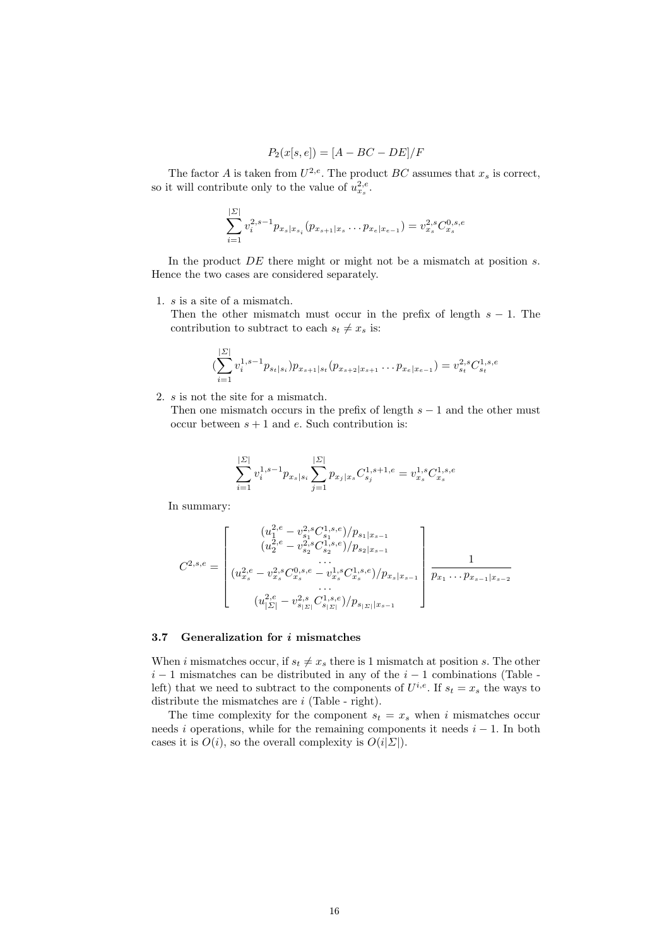$$
P_2(x[s, e]) = [A - BC - DE]/F
$$

The factor A is taken from  $U^{2,e}$ . The product  $BC$  assumes that  $x_s$  is correct, so it will contribute only to the value of  $u_{x_s}^{2,e}$ .

$$
\sum_{i=1}^{\lvert \Sigma \rvert} v_i^{2,s-1} p_{x_s|x_{s_i}}(p_{x_{s+1}|x_s} \dots p_{x_e|x_{e-1}}) = v_{x_s}^{2,s} C_{x_s}^{0,s,e}
$$

In the product  $DE$  there might or might not be a mismatch at position s. Hence the two cases are considered separately.

1. s is a site of a mismatch.

Then the other mismatch must occur in the prefix of length  $s - 1$ . The contribution to subtract to each  $s_t \neq x_s$  is:

$$
(\sum_{i=1}^{|{\mathcal{L}}|} v_i^{1,s-1} p_{s_t|s_i}) p_{x_{s+1}|s_t}(p_{x_{s+2}|x_{s+1}} \dots p_{x_e|x_{e-1}}) = v_{s_t}^{2,s} C_{s_t}^{1,s,e}
$$

2. s is not the site for a mismatch.

Then one mismatch occurs in the prefix of length  $s - 1$  and the other must occur between  $s + 1$  and  $e$ . Such contribution is:

$$
\sum_{i=1}^{|{\boldsymbol{ \Sigma}}|} v_i^{1,s-1} p_{x_s|s_i} \sum_{j=1}^{|{\boldsymbol{ \Sigma}}|} p_{x_j|x_s} C_{s_j}^{1,s+1,e} = v_{x_s}^{1,s} C_{x_s}^{1,s,e}
$$

In summary:

$$
C^{2,s,e} = \begin{bmatrix} (u_{1}^{2,e} - v_{s_1}^{2,s} C_{s_1}^{1,s,e})/p_{s_1|x_{s-1}} \\ (u_{2}^{2,e} - v_{s_2}^{2,s} C_{s_2}^{1,s,e})/p_{s_2|x_{s-1}} \\ \cdots \\ (u_{x_s}^{2,e} - v_{x_s}^{2,s} C_{x_s}^{0,s,e} - v_{x_s}^{1,s} C_{x_s}^{1,s,e})/p_{x_s|x_{s-1}} \\ \vdots \\ (u_{|{\Sigma}|}^{2,e} - v_{s_{{|{\Sigma}|}}}^{2,s} C_{s_{{|{\Sigma}|}}}^{1,s,e})/p_{s_{{|{\Sigma}|}}|x_{s-1}} \end{bmatrix} \frac{1}{p_{x_1} \cdots p_{x_{s-1}|x_{s-2}}}
$$

### 3.7 Generalization for i mismatches

When i mismatches occur, if  $s_t \neq x_s$  there is 1 mismatch at position s. The other  $i-1$  mismatches can be distributed in any of the  $i-1$  combinations (Table left) that we need to subtract to the components of  $U^{i,e}$ . If  $s_t = x_s$  the ways to distribute the mismatches are  $i$  (Table - right).

The time complexity for the component  $s_t = x_s$  when i mismatches occur needs i operations, while for the remaining components it needs  $i - 1$ . In both cases it is  $O(i)$ , so the overall complexity is  $O(i|\Sigma|)$ .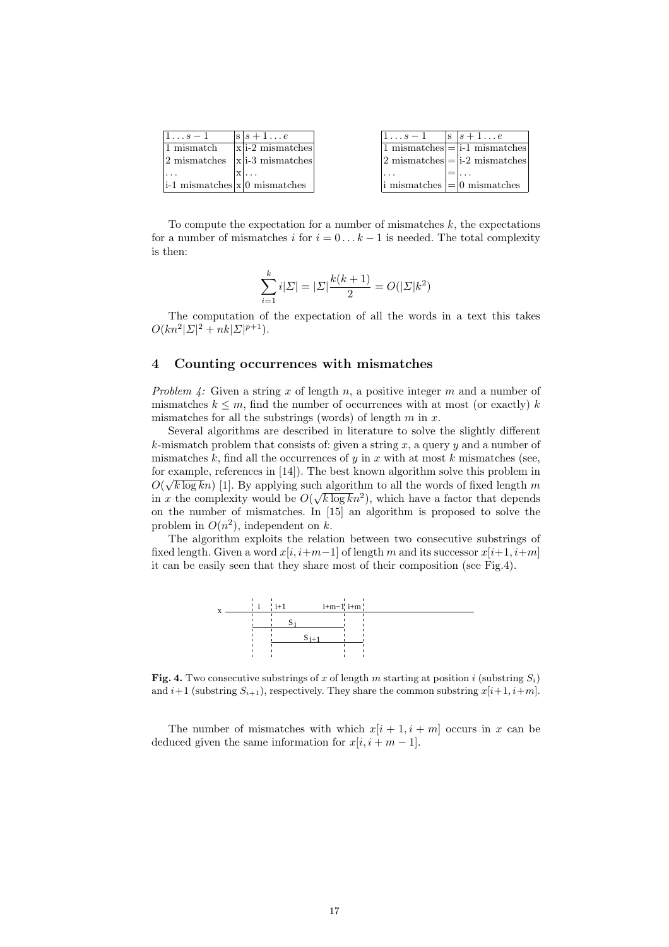| $1 \ldots s-1$                      | $ s s+1e$                                         | $1 \ldots s-1$ | $ s $ $s+1e$                                                      |
|-------------------------------------|---------------------------------------------------|----------------|-------------------------------------------------------------------|
| 1 mismatch                          | $ x $ i-2 mismatches                              |                | $ 1 \text{ mismatches}  =  i-1 \text{ mismatches} $               |
|                                     | $ 2 \text{ mismatches} \times  x $ i-3 mismatches |                | $ 2 \text{ mismatches}  =  i-2 \text{ mismatches} $               |
|                                     |                                                   |                |                                                                   |
| $ i-1$ mismatches $ x 0$ mismatches |                                                   |                | $\vert i \rangle$ mismatches $\vert = \vert 0 \rangle$ mismatches |

To compute the expectation for a number of mismatches  $k$ , the expectations for a number of mismatches i for  $i = 0...k - 1$  is needed. The total complexity is then:

$$
\sum_{i=1}^{k} i|\Sigma| = |\Sigma| \frac{k(k+1)}{2} = O(|\Sigma| k^2)
$$

The computation of the expectation of all the words in a text this takes  $O(kn^2|\Sigma|^2 + nk|\Sigma|^{p+1}).$ 

# 4 Counting occurrences with mismatches

Problem 4: Given a string x of length n, a positive integer m and a number of mismatches  $k \leq m$ , find the number of occurrences with at most (or exactly) k mismatches for all the substrings (words) of length  $m$  in  $x$ .

Several algorithms are described in literature to solve the slightly different k-mismatch problem that consists of: given a string x, a query  $\eta$  and a number of mismatches  $k$ , find all the occurrences of  $y$  in  $x$  with at most  $k$  mismatches (see, for example, references in [14]). The best known algorithm solve this problem in  $O(\sqrt{k \log k}n)$  [1]. By applying such algorithm to all the words of fixed length m in x the complexity would be  $O(\sqrt{k \log k}n^2)$ , which have a factor that depends on the number of mismatches. In [15] an algorithm is proposed to solve the problem in  $O(n^2)$ , independent on k.

The algorithm exploits the relation between two consecutive substrings of fixed length. Given a word  $x[i, i+m-1]$  of length m and its successor  $x[i+1, i+m]$ it can be easily seen that they share most of their composition (see Fig.4).



**Fig. 4.** Two consecutive substrings of x of length m starting at position i (substring  $S_i$ ) and  $i+1$  (substring  $S_{i+1}$ ), respectively. They share the common substring  $x[i+1, i+m]$ .

The number of mismatches with which  $x[i + 1, i + m]$  occurs in x can be deduced given the same information for  $x[i, i + m - 1]$ .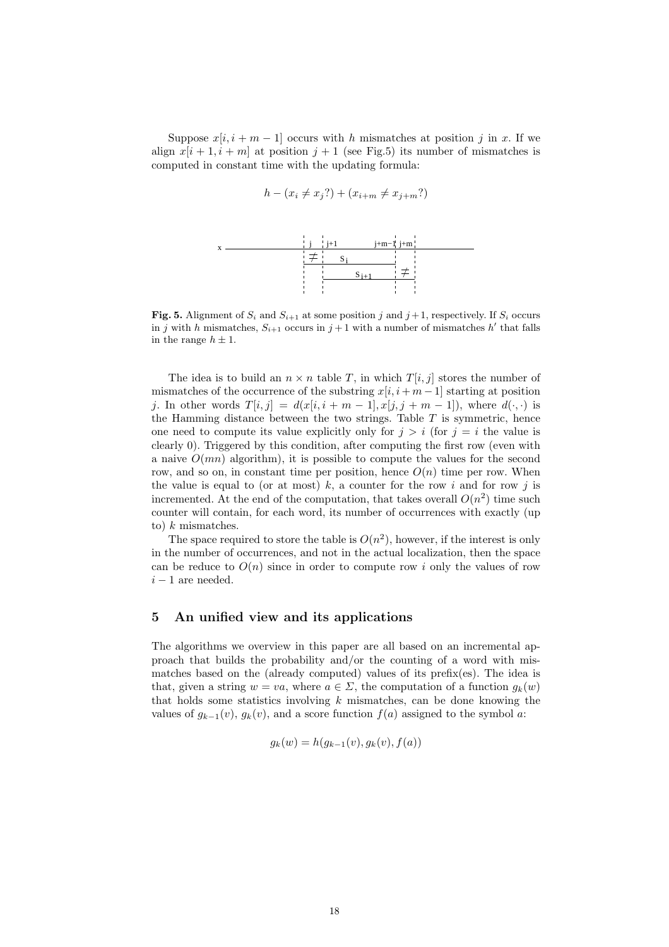Suppose  $x[i, i + m - 1]$  occurs with h mismatches at position j in x. If we align  $x[i + 1, i + m]$  at position  $j + 1$  (see Fig.5) its number of mismatches is computed in constant time with the updating formula:

$$
h - (x_i \neq x_j?) + (x_{i+m} \neq x_{j+m}?)
$$



**Fig. 5.** Alignment of  $S_i$  and  $S_{i+1}$  at some position j and  $j+1$ , respectively. If  $S_i$  occurs in j with h mismatches,  $S_{i+1}$  occurs in  $j+1$  with a number of mismatches h' that falls in the range  $h \pm 1$ .

The idea is to build an  $n \times n$  table T, in which  $T[i, j]$  stores the number of mismatches of the occurrence of the substring  $x[i, i + m - 1]$  starting at position j. In other words  $T[i, j] = d(x[i, i + m - 1], x[j, j + m - 1])$ , where  $d(\cdot, \cdot)$  is the Hamming distance between the two strings. Table  $T$  is symmetric, hence one need to compute its value explicitly only for  $j > i$  (for  $j = i$  the value is clearly 0). Triggered by this condition, after computing the first row (even with a naive  $O(mn)$  algorithm), it is possible to compute the values for the second row, and so on, in constant time per position, hence  $O(n)$  time per row. When the value is equal to (or at most) k, a counter for the row i and for row j is incremented. At the end of the computation, that takes overall  $O(n^2)$  time such counter will contain, for each word, its number of occurrences with exactly (up to)  $k$  mismatches.

The space required to store the table is  $O(n^2)$ , however, if the interest is only in the number of occurrences, and not in the actual localization, then the space can be reduce to  $O(n)$  since in order to compute row i only the values of row  $i - 1$  are needed.

### 5 An unified view and its applications

The algorithms we overview in this paper are all based on an incremental approach that builds the probability and/or the counting of a word with mismatches based on the (already computed) values of its prefix(es). The idea is that, given a string  $w = va$ , where  $a \in \Sigma$ , the computation of a function  $q_k(w)$ that holds some statistics involving  $k$  mismatches, can be done knowing the values of  $g_{k-1}(v)$ ,  $g_k(v)$ , and a score function  $f(a)$  assigned to the symbol a:

$$
g_k(w) = h(g_{k-1}(v), g_k(v), f(a))
$$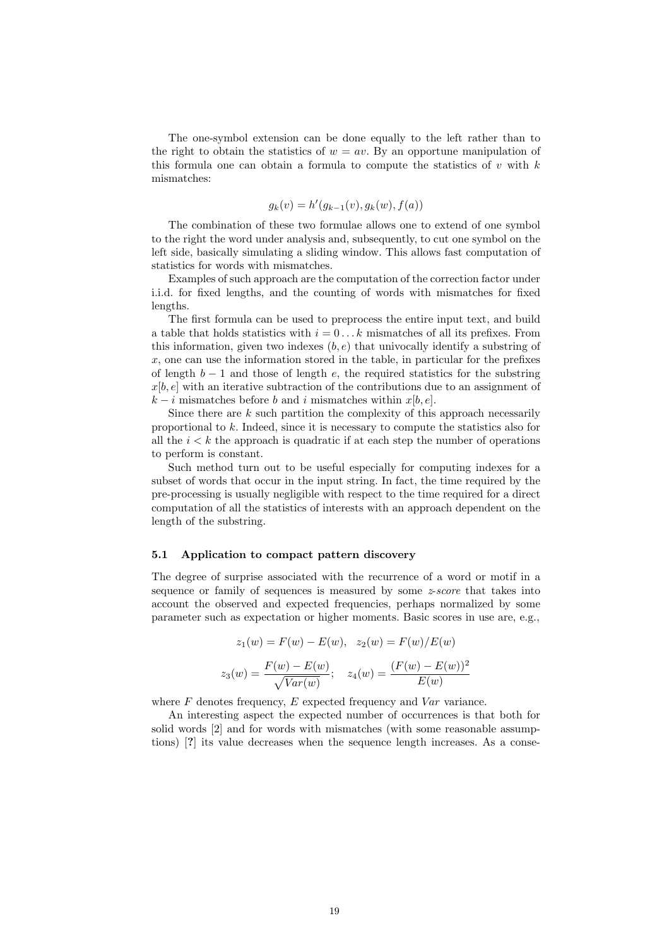The one-symbol extension can be done equally to the left rather than to the right to obtain the statistics of  $w = av$ . By an opportune manipulation of this formula one can obtain a formula to compute the statistics of  $v$  with  $k$ mismatches:

$$
g_k(v) = h'(g_{k-1}(v), g_k(w), f(a))
$$

The combination of these two formulae allows one to extend of one symbol to the right the word under analysis and, subsequently, to cut one symbol on the left side, basically simulating a sliding window. This allows fast computation of statistics for words with mismatches.

Examples of such approach are the computation of the correction factor under i.i.d. for fixed lengths, and the counting of words with mismatches for fixed lengths.

The first formula can be used to preprocess the entire input text, and build a table that holds statistics with  $i = 0...k$  mismatches of all its prefixes. From this information, given two indexes  $(b, e)$  that univocally identify a substring of  $x$ , one can use the information stored in the table, in particular for the prefixes of length  $b - 1$  and those of length e, the required statistics for the substring  $x[b, e]$  with an iterative subtraction of the contributions due to an assignment of  $k - i$  mismatches before b and i mismatches within  $x[b, e]$ .

Since there are  $k$  such partition the complexity of this approach necessarily proportional to k. Indeed, since it is necessary to compute the statistics also for all the  $i < k$  the approach is quadratic if at each step the number of operations to perform is constant.

Such method turn out to be useful especially for computing indexes for a subset of words that occur in the input string. In fact, the time required by the pre-processing is usually negligible with respect to the time required for a direct computation of all the statistics of interests with an approach dependent on the length of the substring.

#### 5.1 Application to compact pattern discovery

The degree of surprise associated with the recurrence of a word or motif in a sequence or family of sequences is measured by some  $z\text{-}score$  that takes into account the observed and expected frequencies, perhaps normalized by some parameter such as expectation or higher moments. Basic scores in use are, e.g.,

$$
z_1(w) = F(w) - E(w), \ z_2(w) = F(w)/E(w)
$$

$$
z_3(w) = \frac{F(w) - E(w)}{\sqrt{Var(w)}}; \ z_4(w) = \frac{(F(w) - E(w))^2}{E(w)}
$$

where  $F$  denotes frequency,  $E$  expected frequency and  $Var$  variance.

An interesting aspect the expected number of occurrences is that both for solid words [2] and for words with mismatches (with some reasonable assumptions) [?] its value decreases when the sequence length increases. As a conse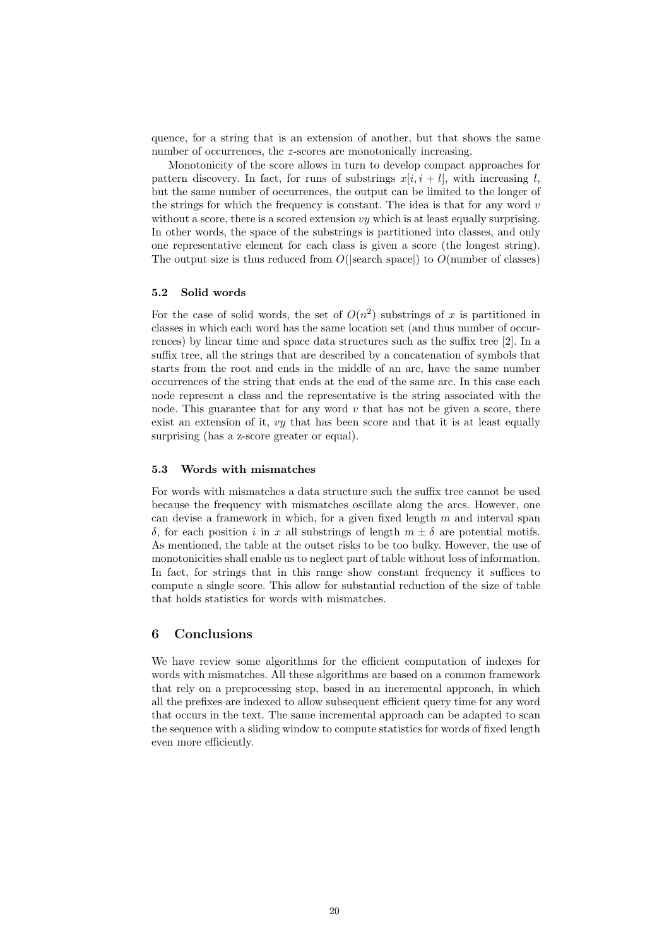quence, for a string that is an extension of another, but that shows the same number of occurrences, the *z*-scores are monotonically increasing.

Monotonicity of the score allows in turn to develop compact approaches for pattern discovery. In fact, for runs of substrings  $x[i, i + l]$ , with increasing l, but the same number of occurrences, the output can be limited to the longer of the strings for which the frequency is constant. The idea is that for any word  $v$ without a score, there is a scored extension  $vy$  which is at least equally surprising. In other words, the space of the substrings is partitioned into classes, and only one representative element for each class is given a score (the longest string). The output size is thus reduced from  $O(|\text{search space}|)$  to  $O(\text{number of classes})$ 

#### 5.2 Solid words

For the case of solid words, the set of  $O(n^2)$  substrings of x is partitioned in classes in which each word has the same location set (and thus number of occurrences) by linear time and space data structures such as the suffix tree [2]. In a suffix tree, all the strings that are described by a concatenation of symbols that starts from the root and ends in the middle of an arc, have the same number occurrences of the string that ends at the end of the same arc. In this case each node represent a class and the representative is the string associated with the node. This guarantee that for any word  $v$  that has not be given a score, there exist an extension of it, vy that has been score and that it is at least equally surprising (has a z-score greater or equal).

#### 5.3 Words with mismatches

For words with mismatches a data structure such the suffix tree cannot be used because the frequency with mismatches oscillate along the arcs. However, one can devise a framework in which, for a given fixed length  $m$  and interval span δ, for each position i in x all substrings of length  $m \pm \delta$  are potential motifs. As mentioned, the table at the outset risks to be too bulky. However, the use of monotonicities shall enable us to neglect part of table without loss of information. In fact, for strings that in this range show constant frequency it suffices to compute a single score. This allow for substantial reduction of the size of table that holds statistics for words with mismatches.

### 6 Conclusions

We have review some algorithms for the efficient computation of indexes for words with mismatches. All these algorithms are based on a common framework that rely on a preprocessing step, based in an incremental approach, in which all the prefixes are indexed to allow subsequent efficient query time for any word that occurs in the text. The same incremental approach can be adapted to scan the sequence with a sliding window to compute statistics for words of fixed length even more efficiently.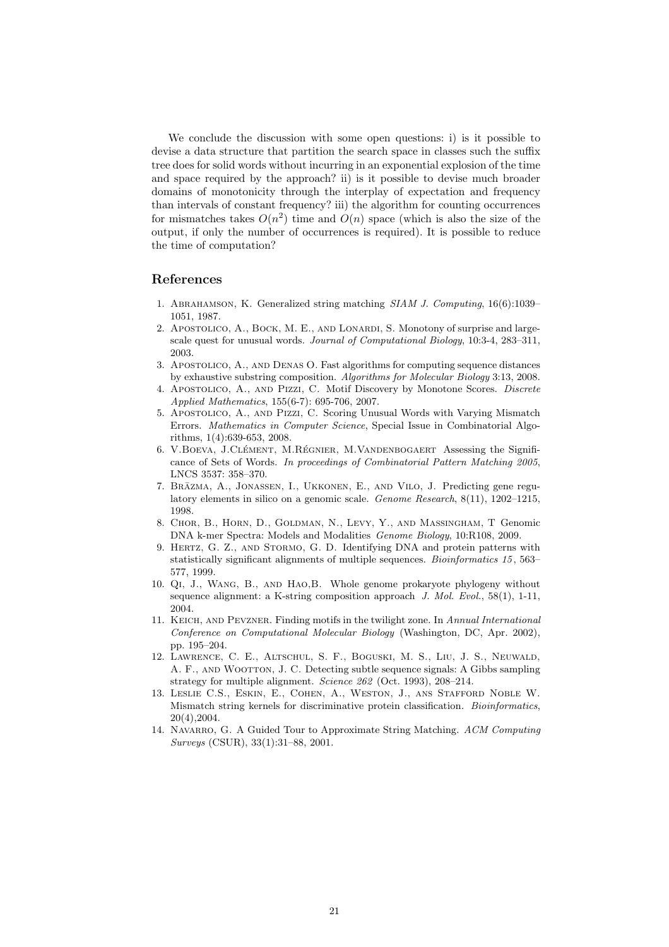We conclude the discussion with some open questions: i) is it possible to devise a data structure that partition the search space in classes such the suffix tree does for solid words without incurring in an exponential explosion of the time and space required by the approach? ii) is it possible to devise much broader domains of monotonicity through the interplay of expectation and frequency than intervals of constant frequency? iii) the algorithm for counting occurrences for mismatches takes  $O(n^2)$  time and  $O(n)$  space (which is also the size of the output, if only the number of occurrences is required). It is possible to reduce the time of computation?

# References

- 1. Abrahamson, K. Generalized string matching SIAM J. Computing, 16(6):1039– 1051, 1987.
- 2. Apostolico, A., Bock, M. E., and Lonardi, S. Monotony of surprise and largescale quest for unusual words. Journal of Computational Biology, 10:3-4, 283–311, 2003.
- 3. Apostolico, A., and Denas O. Fast algorithms for computing sequence distances by exhaustive substring composition. Algorithms for Molecular Biology 3:13, 2008.
- 4. Apostolico, A., and Pizzi, C. Motif Discovery by Monotone Scores. Discrete Applied Mathematics, 155(6-7): 695-706, 2007.
- 5. Apostolico, A., and Pizzi, C. Scoring Unusual Words with Varying Mismatch Errors. Mathematics in Computer Science, Special Issue in Combinatorial Algorithms, 1(4):639-653, 2008.
- 6. V.BOEVA, J.CLÉMENT, M.RÉGNIER, M.VANDENBOGAERT Assessing the Significance of Sets of Words. In proceedings of Combinatorial Pattern Matching 2005, LNCS 3537: 358–370.
- 7. BRĀZMA, A., JONASSEN, I., UKKONEN, E., AND VILO, J. Predicting gene regulatory elements in silico on a genomic scale. Genome Research, 8(11), 1202–1215, 1998.
- 8. Chor, B., Horn, D., Goldman, N., Levy, Y., and Massingham, T Genomic DNA k-mer Spectra: Models and Modalities Genome Biology, 10:R108, 2009.
- 9. HERTZ, G. Z., AND STORMO, G. D. Identifying DNA and protein patterns with statistically significant alignments of multiple sequences. Bioinformatics 15 , 563– 577, 1999.
- 10. Qi, J., Wang, B., and Hao,B. Whole genome prokaryote phylogeny without sequence alignment: a K-string composition approach J. Mol. Evol., 58(1), 1-11, 2004.
- 11. Keich, and Pevzner. Finding motifs in the twilight zone. In Annual International Conference on Computational Molecular Biology (Washington, DC, Apr. 2002), pp. 195–204.
- 12. Lawrence, C. E., Altschul, S. F., Boguski, M. S., Liu, J. S., Neuwald, A. F., and Wootton, J. C. Detecting subtle sequence signals: A Gibbs sampling strategy for multiple alignment. Science 262 (Oct. 1993), 208–214.
- 13. Leslie C.S., Eskin, E., Cohen, A., Weston, J., ans Stafford Noble W. Mismatch string kernels for discriminative protein classification. Bioinformatics, 20(4),2004.
- 14. NAVARRO, G. A Guided Tour to Approximate String Matching. ACM Computing Surveys (CSUR), 33(1):31–88, 2001.